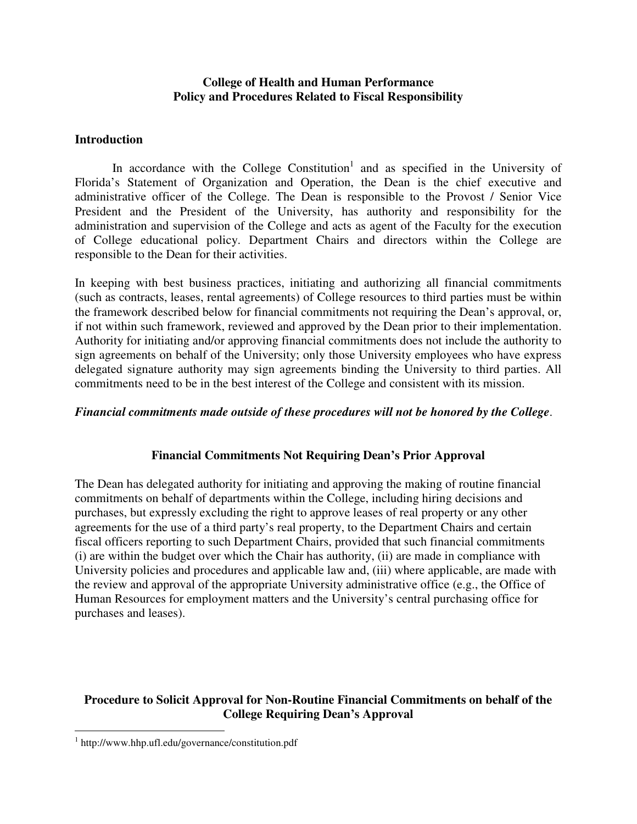## **College of Health and Human Performance Policy and Procedures Related to Fiscal Responsibility**

## **Introduction**

In accordance with the College Constitution<sup>1</sup> and as specified in the University of Florida's Statement of Organization and Operation, the Dean is the chief executive and administrative officer of the College. The Dean is responsible to the Provost / Senior Vice President and the President of the University, has authority and responsibility for the administration and supervision of the College and acts as agent of the Faculty for the execution of College educational policy. Department Chairs and directors within the College are responsible to the Dean for their activities.

In keeping with best business practices, initiating and authorizing all financial commitments (such as contracts, leases, rental agreements) of College resources to third parties must be within the framework described below for financial commitments not requiring the Dean's approval, or, if not within such framework, reviewed and approved by the Dean prior to their implementation. Authority for initiating and/or approving financial commitments does not include the authority to sign agreements on behalf of the University; only those University employees who have express delegated signature authority may sign agreements binding the University to third parties. All commitments need to be in the best interest of the College and consistent with its mission.

### *Financial commitments made outside of these procedures will not be honored by the College*.

### **Financial Commitments Not Requiring Dean's Prior Approval**

The Dean has delegated authority for initiating and approving the making of routine financial commitments on behalf of departments within the College, including hiring decisions and purchases, but expressly excluding the right to approve leases of real property or any other agreements for the use of a third party's real property, to the Department Chairs and certain fiscal officers reporting to such Department Chairs, provided that such financial commitments (i) are within the budget over which the Chair has authority, (ii) are made in compliance with University policies and procedures and applicable law and, (iii) where applicable, are made with the review and approval of the appropriate University administrative office (e.g., the Office of Human Resources for employment matters and the University's central purchasing office for purchases and leases).

# **Procedure to Solicit Approval for Non-Routine Financial Commitments on behalf of the College Requiring Dean's Approval**

 $\overline{a}$ 

<sup>1</sup> http://www.hhp.ufl.edu/governance/constitution.pdf